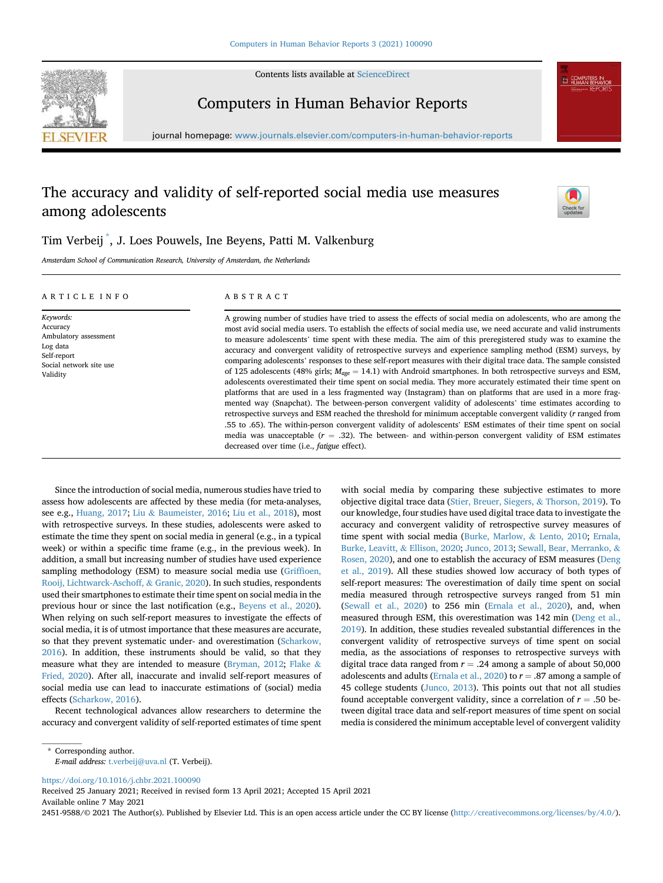

Contents lists available at [ScienceDirect](www.sciencedirect.com/science/journal/24519588)

# Computers in Human Behavior Reports

journal homepage: <www.journals.elsevier.com/computers-in-human-behavior-reports>

# The accuracy and validity of self-reported social media use measures among adolescents



# Tim Verbeij [\\*](#page-0-0) , J. Loes Pouwels, Ine Beyens, Patti M. Valkenburg

Amsterdam School of Communication Research, University of Amsterdam, the Netherlands

#### ARTICLE INFO

Ambulatory assessment

Keywords: Accuracy

Log data Self-report

#### ABSTRACT

A growing number of studies have tried to assess the effects of social media on adolescents, who are among the most avid social media users. To establish the effects of social media use, we need accurate and valid instruments to measure adolescents' time spent with these media. The aim of this preregistered study was to examine the accuracy and convergent validity of retrospective surveys and experience sampling method (ESM) surveys, by comparing adolescents' responses to these self-report measures with their digital trace data. The sample consisted of 125 adolescents (48% girls;  $M_{age} = 14.1$ ) with Android smartphones. In both retrospective surveys and ESM, adolescents overestimated their time spent on social media. They more accurately estimated their time spent on platforms that are used in a less fragmented way (Instagram) than on platforms that are used in a more fragmented way (Snapchat). The between-person convergent validity of adolescents' time estimates according to retrospective surveys and ESM reached the threshold for minimum acceptable convergent validity (r ranged from .55 to .65). The within-person convergent validity of adolescents' ESM estimates of their time spent on social media was unacceptable ( $r = .32$ ). The between- and within-person convergent validity of ESM estimates decreased over time (i.e., fatigue effect).

Social network site use Validity

Since the introduction of social media, numerous studies have tried to assess how adolescents are affected by these media (for meta-analyses, see e.g., [Huang, 2017;](#page-9-0) [Liu](#page-10-0) & [Baumeister, 2016](#page-10-0); [Liu et al., 2018\)](#page-10-1), most with retrospective surveys. In these studies, adolescents were asked to estimate the time they spent on social media in general (e.g., in a typical week) or within a specific time frame (e.g., in the previous week). In addition, a small but increasing number of studies have used experience sampling methodology (ESM) to measure social media use (Griffi[oen,](#page-9-1) [Rooij, Lichtwarck-Aschoff,](#page-9-1) & [Granic, 2020\)](#page-9-1). In such studies, respondents used their smartphones to estimate their time spent on social media in the previous hour or since the last notification (e.g., [Beyens et al., 2020\)](#page-9-2). When relying on such self-report measures to investigate the effects of social media, it is of utmost importance that these measures are accurate, so that they prevent systematic under- and overestimation [\(Scharkow,](#page-10-2) [2016\)](#page-10-2). In addition, these instruments should be valid, so that they measure what they are intended to measure [\(Bryman, 2012;](#page-9-3) [Flake](#page-9-4) & [Fried, 2020](#page-9-4)). After all, inaccurate and invalid self-report measures of social media use can lead to inaccurate estimations of (social) media effects [\(Scharkow, 2016\)](#page-10-2).

Recent technological advances allow researchers to determine the accuracy and convergent validity of self-reported estimates of time spent

with social media by comparing these subjective estimates to more objective digital trace data ([Stier, Breuer, Siegers,](#page-10-3) & [Thorson, 2019](#page-10-3)). To our knowledge, four studies have used digital trace data to investigate the accuracy and convergent validity of retrospective survey measures of time spent with social media [\(Burke, Marlow,](#page-9-5) & [Lento, 2010;](#page-9-5) [Ernala,](#page-9-6) [Burke, Leavitt,](#page-9-6) & [Ellison, 2020;](#page-9-6) [Junco, 2013](#page-9-7); [Sewall, Bear, Merranko,](#page-10-4) & [Rosen, 2020\)](#page-10-4), and one to establish the accuracy of ESM measures ([Deng](#page-9-8) [et al., 2019](#page-9-8)). All these studies showed low accuracy of both types of self-report measures: The overestimation of daily time spent on social media measured through retrospective surveys ranged from 51 min ([Sewall et al., 2020\)](#page-10-4) to 256 min ([Ernala et al., 2020](#page-9-6)), and, when measured through ESM, this overestimation was 142 min ([Deng et al.,](#page-9-8) [2019\)](#page-9-8). In addition, these studies revealed substantial differences in the convergent validity of retrospective surveys of time spent on social media, as the associations of responses to retrospective surveys with digital trace data ranged from  $r = .24$  among a sample of about 50,000 adolescents and adults [\(Ernala et al., 2020\)](#page-9-6) to  $r = .87$  among a sample of 45 college students [\(Junco, 2013](#page-9-7)). This points out that not all studies found acceptable convergent validity, since a correlation of  $r = .50$  between digital trace data and self-report measures of time spent on social media is considered the minimum acceptable level of convergent validity

<https://doi.org/10.1016/j.chbr.2021.100090>

Received 25 January 2021; Received in revised form 13 April 2021; Accepted 15 April 2021 Available online 7 May 2021

2451-9588/© 2021 The Author(s). Published by Elsevier Ltd. This is an open access article under the CC BY license (<http://creativecommons.org/licenses/by/4.0/>).

<span id="page-0-0"></span><sup>\*</sup> Corresponding author. E-mail address: [t.verbeij@uva.nl](mailto:t.verbeij@uva.nl) (T. Verbeij).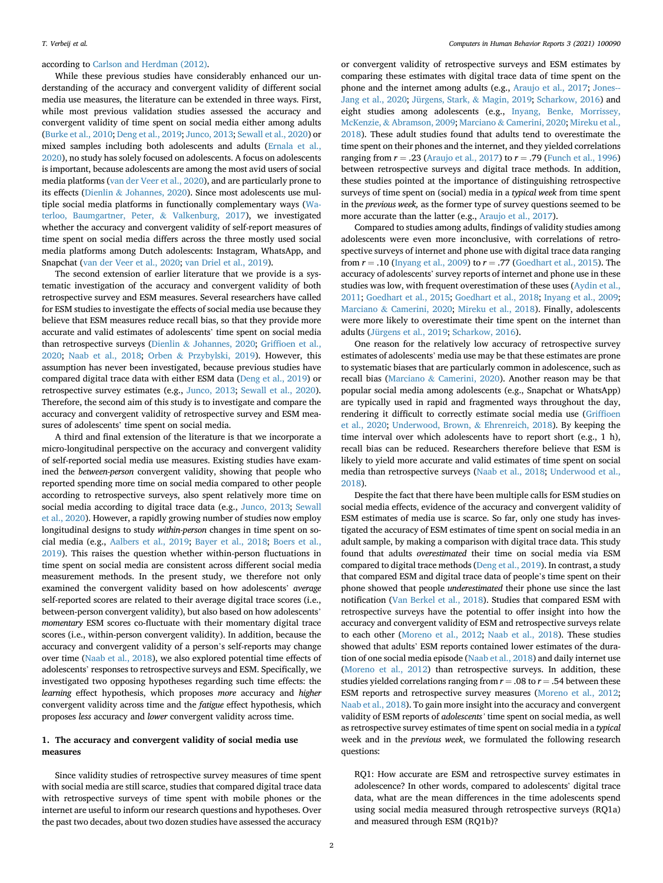according to [Carlson and Herdman \(2012\)](#page-9-9).

While these previous studies have considerably enhanced our understanding of the accuracy and convergent validity of different social media use measures, the literature can be extended in three ways. First, while most previous validation studies assessed the accuracy and convergent validity of time spent on social media either among adults ([Burke et al., 2010](#page-9-5); [Deng et al., 2019](#page-9-8); [Junco, 2013;](#page-9-7) [Sewall et al., 2020\)](#page-10-4) or mixed samples including both adolescents and adults ([Ernala et al.,](#page-9-6) [2020\)](#page-9-6), no study has solely focused on adolescents. A focus on adolescents is important, because adolescents are among the most avid users of social media platforms ([van der Veer et al., 2020](#page-10-5)), and are particularly prone to its effects [\(Dienlin](#page-9-10) & [Johannes, 2020](#page-9-10)). Since most adolescents use multiple social media platforms in functionally complementary ways ([Wa](#page-10-6)[terloo, Baumgartner, Peter,](#page-10-6) & [Valkenburg, 2017\)](#page-10-6), we investigated whether the accuracy and convergent validity of self-report measures of time spent on social media differs across the three mostly used social media platforms among Dutch adolescents: Instagram, WhatsApp, and Snapchat ([van der Veer et al., 2020;](#page-10-5) [van Driel et al., 2019\)](#page-9-11).

The second extension of earlier literature that we provide is a systematic investigation of the accuracy and convergent validity of both retrospective survey and ESM measures. Several researchers have called for ESM studies to investigate the effects of social media use because they believe that ESM measures reduce recall bias, so that they provide more accurate and valid estimates of adolescents' time spent on social media than retrospective surveys [\(Dienlin](#page-9-10) & [Johannes, 2020](#page-9-10); Griffi[oen et al.,](#page-9-1) [2020;](#page-9-1) [Naab et al., 2018;](#page-10-7) [Orben](#page-10-8) & [Przybylski, 2019](#page-10-8)). However, this assumption has never been investigated, because previous studies have compared digital trace data with either ESM data ([Deng et al., 2019\)](#page-9-8) or retrospective survey estimates (e.g., [Junco, 2013](#page-9-7); [Sewall et al., 2020\)](#page-10-4). Therefore, the second aim of this study is to investigate and compare the accuracy and convergent validity of retrospective survey and ESM measures of adolescents' time spent on social media.

A third and final extension of the literature is that we incorporate a micro-longitudinal perspective on the accuracy and convergent validity of self-reported social media use measures. Existing studies have examined the between-person convergent validity, showing that people who reported spending more time on social media compared to other people according to retrospective surveys, also spent relatively more time on social media according to digital trace data (e.g., [Junco, 2013;](#page-9-7) [Sewall](#page-10-4) [et al., 2020](#page-10-4)). However, a rapidly growing number of studies now employ longitudinal designs to study within-person changes in time spent on social media (e.g., [Aalbers et al., 2019;](#page-9-12) [Bayer et al., 2018](#page-9-13); [Boers et al.,](#page-9-14) [2019\)](#page-9-14). This raises the question whether within-person fluctuations in time spent on social media are consistent across different social media measurement methods. In the present study, we therefore not only examined the convergent validity based on how adolescents' average self-reported scores are related to their average digital trace scores (i.e., between-person convergent validity), but also based on how adolescents' momentary ESM scores co-fluctuate with their momentary digital trace scores (i.e., within-person convergent validity). In addition, because the accuracy and convergent validity of a person's self-reports may change over time [\(Naab et al., 2018\)](#page-10-7), we also explored potential time effects of adolescents' responses to retrospective surveys and ESM. Specifically, we investigated two opposing hypotheses regarding such time effects: the learning effect hypothesis, which proposes more accuracy and higher convergent validity across time and the fatigue effect hypothesis, which proposes less accuracy and lower convergent validity across time.

# 1. The accuracy and convergent validity of social media use measures

Since validity studies of retrospective survey measures of time spent with social media are still scarce, studies that compared digital trace data with retrospective surveys of time spent with mobile phones or the internet are useful to inform our research questions and hypotheses. Over the past two decades, about two dozen studies have assessed the accuracy

or convergent validity of retrospective surveys and ESM estimates by comparing these estimates with digital trace data of time spent on the phone and the internet among adults (e.g., [Araujo et al., 2017](#page-9-15); [Jones--](#page-9-16) [Jang et al., 2020;](#page-9-16) [Jürgens, Stark,](#page-9-17) & [Magin, 2019;](#page-9-17) [Scharkow, 2016](#page-10-2)) and eight studies among adolescents (e.g., [Inyang, Benke, Morrissey,](#page-9-18) [McKenzie,](#page-9-18) & [Abramson, 2009](#page-9-18); [Marciano](#page-10-9) & [Camerini, 2020;](#page-10-9) [Mireku et al.,](#page-10-10) [2018\)](#page-10-10). These adult studies found that adults tend to overestimate the time spent on their phones and the internet, and they yielded correlations ranging from  $r = .23$  ([Araujo et al., 2017](#page-9-15)) to  $r = .79$  ([Funch et al., 1996\)](#page-9-19) between retrospective surveys and digital trace methods. In addition, these studies pointed at the importance of distinguishing retrospective surveys of time spent on (social) media in a typical week from time spent in the previous week, as the former type of survey questions seemed to be more accurate than the latter (e.g., [Araujo et al., 2017\)](#page-9-15).

Compared to studies among adults, findings of validity studies among adolescents were even more inconclusive, with correlations of retrospective surveys of internet and phone use with digital trace data ranging from  $r = .10$  ([Inyang et al., 2009\)](#page-9-18) to  $r = .77$  ([Goedhart et al., 2015](#page-9-20)). The accuracy of adolescents' survey reports of internet and phone use in these studies was low, with frequent overestimation of these uses ([Aydin et al.,](#page-9-21) [2011;](#page-9-21) [Goedhart et al., 2015](#page-9-20); [Goedhart et al., 2018](#page-9-22); [Inyang et al., 2009;](#page-9-18) [Marciano](#page-10-9) & [Camerini, 2020](#page-10-9); [Mireku et al., 2018\)](#page-10-10). Finally, adolescents were more likely to overestimate their time spent on the internet than adults ([Jürgens et al., 2019](#page-9-17); [Scharkow, 2016](#page-10-2)).

One reason for the relatively low accuracy of retrospective survey estimates of adolescents' media use may be that these estimates are prone to systematic biases that are particularly common in adolescence, such as recall bias ([Marciano](#page-10-9) & [Camerini, 2020](#page-10-9)). Another reason may be that popular social media among adolescents (e.g., Snapchat or WhatsApp) are typically used in rapid and fragmented ways throughout the day, rendering it difficult to correctly estimate social media use ([Grif](#page-9-1)fioen [et al., 2020](#page-9-1); [Underwood, Brown,](#page-10-11) & [Ehrenreich, 2018](#page-10-11)). By keeping the time interval over which adolescents have to report short (e.g., 1 h), recall bias can be reduced. Researchers therefore believe that ESM is likely to yield more accurate and valid estimates of time spent on social media than retrospective surveys [\(Naab et al., 2018;](#page-10-7) [Underwood et al.,](#page-10-11) [2018\)](#page-10-11).

Despite the fact that there have been multiple calls for ESM studies on social media effects, evidence of the accuracy and convergent validity of ESM estimates of media use is scarce. So far, only one study has investigated the accuracy of ESM estimates of time spent on social media in an adult sample, by making a comparison with digital trace data. This study found that adults overestimated their time on social media via ESM compared to digital trace methods [\(Deng et al., 2019](#page-9-8)). In contrast, a study that compared ESM and digital trace data of people's time spent on their phone showed that people underestimated their phone use since the last notification ([Van Berkel et al., 2018](#page-10-12)). Studies that compared ESM with retrospective surveys have the potential to offer insight into how the accuracy and convergent validity of ESM and retrospective surveys relate to each other [\(Moreno et al., 2012](#page-10-13); [Naab et al., 2018\)](#page-10-7). These studies showed that adults' ESM reports contained lower estimates of the duration of one social media episode ([Naab et al., 2018\)](#page-10-7) and daily internet use ([Moreno et al., 2012](#page-10-13)) than retrospective surveys. In addition, these studies yielded correlations ranging from  $r = .08$  to  $r = .54$  between these ESM reports and retrospective survey measures [\(Moreno et al., 2012;](#page-10-13) [Naab et al., 2018\)](#page-10-7). To gain more insight into the accuracy and convergent validity of ESM reports of adolescents' time spent on social media, as well as retrospective survey estimates of time spent on social media in a typical week and in the previous week, we formulated the following research questions:

RQ1: How accurate are ESM and retrospective survey estimates in adolescence? In other words, compared to adolescents' digital trace data, what are the mean differences in the time adolescents spend using social media measured through retrospective surveys (RQ1a) and measured through ESM (RQ1b)?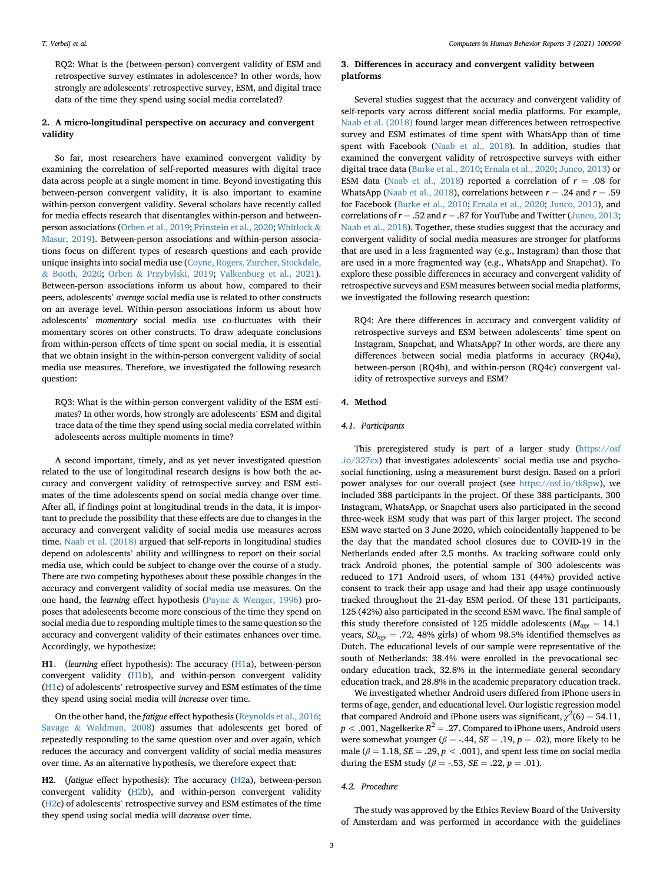RQ2: What is the (between-person) convergent validity of ESM and retrospective survey estimates in adolescence? In other words, how strongly are adolescents' retrospective survey, ESM, and digital trace data of the time they spend using social media correlated?

# 2. A micro-longitudinal perspective on accuracy and convergent validity

So far, most researchers have examined convergent validity by examining the correlation of self-reported measures with digital trace data across people at a single moment in time. Beyond investigating this between-person convergent validity, it is also important to examine within-person convergent validity. Several scholars have recently called for media effects research that disentangles within-person and betweenperson associations ([Orben et al., 2019;](#page-10-14) [Prinstein et al., 2020;](#page-10-15) [Whitlock](#page-10-16) & [Masur, 2019](#page-10-16)). Between-person associations and within-person associations focus on different types of research questions and each provide unique insights into social media use ([Coyne, Rogers, Zurcher, Stockdale,](#page-9-23) & [Booth, 2020;](#page-9-23) [Orben](#page-10-8) & [Przybylski, 2019;](#page-10-8) [Valkenburg et al., 2021\)](#page-10-17). Between-person associations inform us about how, compared to their peers, adolescents' average social media use is related to other constructs on an average level. Within-person associations inform us about how adolescents' momentary social media use co-fluctuates with their momentary scores on other constructs. To draw adequate conclusions from within-person effects of time spent on social media, it is essential that we obtain insight in the within-person convergent validity of social media use measures. Therefore, we investigated the following research question:

RQ3: What is the within-person convergent validity of the ESM estimates? In other words, how strongly are adolescents' ESM and digital trace data of the time they spend using social media correlated within adolescents across multiple moments in time?

A second important, timely, and as yet never investigated question related to the use of longitudinal research designs is how both the accuracy and convergent validity of retrospective survey and ESM estimates of the time adolescents spend on social media change over time. After all, if findings point at longitudinal trends in the data, it is important to preclude the possibility that these effects are due to changes in the accuracy and convergent validity of social media use measures across time. [Naab et al. \(2018\)](#page-10-7) argued that self-reports in longitudinal studies depend on adolescents' ability and willingness to report on their social media use, which could be subject to change over the course of a study. There are two competing hypotheses about these possible changes in the accuracy and convergent validity of social media use measures. On the one hand, the learning effect hypothesis [\(Payne](#page-10-18) & [Wenger, 1996](#page-10-18)) proposes that adolescents become more conscious of the time they spend on social media due to responding multiple times to the same question so the accuracy and convergent validity of their estimates enhances over time. Accordingly, we hypothesize:

H1. (learning effect hypothesis): The accuracy (H1a), between-person convergent validity (H1b), and within-person convergent validity (H1c) of adolescents' retrospective survey and ESM estimates of the time they spend using social media will increase over time.

On the other hand, the fatigue effect hypothesis ([Reynolds et al., 2016;](#page-10-19) [Savage](#page-10-20) & [Waldman, 2008](#page-10-20)) assumes that adolescents get bored of repeatedly responding to the same question over and over again, which reduces the accuracy and convergent validity of social media measures over time. As an alternative hypothesis, we therefore expect that:

H2. (fatigue effect hypothesis): The accuracy (H2a), between-person convergent validity (H2b), and within-person convergent validity (H2c) of adolescents' retrospective survey and ESM estimates of the time they spend using social media will decrease over time.

# 3. Differences in accuracy and convergent validity between platforms

Several studies suggest that the accuracy and convergent validity of self-reports vary across different social media platforms. For example, [Naab et al. \(2018\)](#page-10-7) found larger mean differences between retrospective survey and ESM estimates of time spent with WhatsApp than of time spent with Facebook ([Naab et al., 2018\)](#page-10-7). In addition, studies that examined the convergent validity of retrospective surveys with either digital trace data [\(Burke et al., 2010](#page-9-5); [Ernala et al., 2020;](#page-9-6) [Junco, 2013](#page-9-7)) or ESM data [\(Naab et al., 2018\)](#page-10-7) reported a correlation of  $r = .08$  for WhatsApp ([Naab et al., 2018\)](#page-10-7), correlations between  $r = .24$  and  $r = .59$ for Facebook [\(Burke et al., 2010](#page-9-5); [Ernala et al., 2020](#page-9-6); [Junco, 2013](#page-9-7)), and correlations of  $r = .52$  and  $r = .87$  for YouTube and Twitter [\(Junco, 2013;](#page-9-7) [Naab et al., 2018](#page-10-7)). Together, these studies suggest that the accuracy and convergent validity of social media measures are stronger for platforms that are used in a less fragmented way (e.g., Instagram) than those that are used in a more fragmented way (e.g., WhatsApp and Snapchat). To explore these possible differences in accuracy and convergent validity of retrospective surveys and ESM measures between social media platforms, we investigated the following research question:

RQ4: Are there differences in accuracy and convergent validity of retrospective surveys and ESM between adolescents' time spent on Instagram, Snapchat, and WhatsApp? In other words, are there any differences between social media platforms in accuracy (RQ4a), between-person (RQ4b), and within-person (RQ4c) convergent validity of retrospective surveys and ESM?

## 4. Method

## 4.1. Participants

This preregistered study is part of a larger study [\(https://osf](https://osf.io/327cx) [.io/327cx](https://osf.io/327cx)) that investigates adolescents' social media use and psychosocial functioning, using a measurement burst design. Based on a priori power analyses for our overall project (see [https://osf.io/tk8pw\)](https://osf.io/tk8pw), we included 388 participants in the project. Of these 388 participants, 300 Instagram, WhatsApp, or Snapchat users also participated in the second three-week ESM study that was part of this larger project. The second ESM wave started on 3 June 2020, which coincidentally happened to be the day that the mandated school closures due to COVID-19 in the Netherlands ended after 2.5 months. As tracking software could only track Android phones, the potential sample of 300 adolescents was reduced to 171 Android users, of whom 131 (44%) provided active consent to track their app usage and had their app usage continuously tracked throughout the 21-day ESM period. Of these 131 participants, 125 (42%) also participated in the second ESM wave. The final sample of this study therefore consisted of 125 middle adolescents ( $M_{\text{age}} = 14.1$ ) years,  $SD_{\text{age}} = .72,48\%$  girls) of whom 98.5% identified themselves as Dutch. The educational levels of our sample were representative of the south of Netherlands: 38.4% were enrolled in the prevocational secondary education track, 32.8% in the intermediate general secondary education track, and 28.8% in the academic preparatory education track.

We investigated whether Android users differed from iPhone users in terms of age, gender, and educational level. Our logistic regression model that compared Android and iPhone users was significant,  $\chi^2(6) = 54.11$ ,  $p < .001$ , Nagelkerke  $R^2 = .27$ . Compared to iPhone users, Android users were somewhat younger ( $\beta = -.44$ ,  $SE = .19$ ,  $p = .02$ ), more likely to be male ( $\beta = 1.18$ ,  $SE = .29$ ,  $p < .001$ ), and spent less time on social media during the ESM study ( $\beta = -0.53$ ,  $SE = 0.22$ ,  $p = 0.01$ ).

# 4.2. Procedure

The study was approved by the Ethics Review Board of the University of Amsterdam and was performed in accordance with the guidelines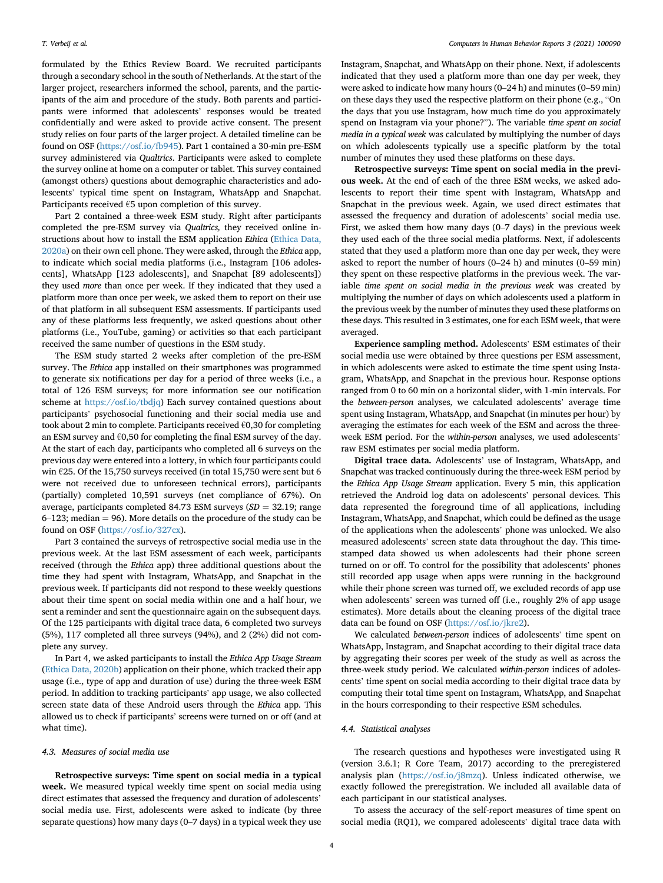formulated by the Ethics Review Board. We recruited participants through a secondary school in the south of Netherlands. At the start of the larger project, researchers informed the school, parents, and the participants of the aim and procedure of the study. Both parents and participants were informed that adolescents' responses would be treated confidentially and were asked to provide active consent. The present study relies on four parts of the larger project. A detailed timeline can be found on OSF (<https://osf.io/fb945>). Part 1 contained a 30-min pre-ESM survey administered via Qualtrics. Participants were asked to complete the survey online at home on a computer or tablet. This survey contained (amongst others) questions about demographic characteristics and adolescents' typical time spent on Instagram, WhatsApp and Snapchat. Participants received €5 upon completion of this survey.

Part 2 contained a three-week ESM study. Right after participants completed the pre-ESM survey via Qualtrics, they received online instructions about how to install the ESM application Ethica [\(Ethica Data,](#page-9-24) [2020a](#page-9-24)) on their own cell phone. They were asked, through the Ethica app, to indicate which social media platforms (i.e., Instagram [106 adolescents], WhatsApp [123 adolescents], and Snapchat [89 adolescents]) they used more than once per week. If they indicated that they used a platform more than once per week, we asked them to report on their use of that platform in all subsequent ESM assessments. If participants used any of these platforms less frequently, we asked questions about other platforms (i.e., YouTube, gaming) or activities so that each participant received the same number of questions in the ESM study.

The ESM study started 2 weeks after completion of the pre-ESM survey. The Ethica app installed on their smartphones was programmed to generate six notifications per day for a period of three weeks (i.e., a total of 126 ESM surveys; for more information see our notification scheme at <https://osf.io/tbdjq>) Each survey contained questions about participants' psychosocial functioning and their social media use and took about 2 min to complete. Participants received €0,30 for completing an ESM survey and  $\epsilon$ 0,50 for completing the final ESM survey of the day. At the start of each day, participants who completed all 6 surveys on the previous day were entered into a lottery, in which four participants could win €25. Of the 15,750 surveys received (in total 15,750 were sent but 6 were not received due to unforeseen technical errors), participants (partially) completed 10,591 surveys (net compliance of 67%). On average, participants completed 84.73 ESM surveys  $(SD = 32.19;$  range  $6-123$ ; median = 96). More details on the procedure of the study can be found on OSF (<https://osf.io/327cx>).

Part 3 contained the surveys of retrospective social media use in the previous week. At the last ESM assessment of each week, participants received (through the Ethica app) three additional questions about the time they had spent with Instagram, WhatsApp, and Snapchat in the previous week. If participants did not respond to these weekly questions about their time spent on social media within one and a half hour, we sent a reminder and sent the questionnaire again on the subsequent days. Of the 125 participants with digital trace data, 6 completed two surveys (5%), 117 completed all three surveys (94%), and 2 (2%) did not complete any survey.

In Part 4, we asked participants to install the Ethica App Usage Stream ([Ethica Data, 2020b\)](#page-9-25) application on their phone, which tracked their app usage (i.e., type of app and duration of use) during the three-week ESM period. In addition to tracking participants' app usage, we also collected screen state data of these Android users through the Ethica app. This allowed us to check if participants' screens were turned on or off (and at what time).

#### 4.3. Measures of social media use

Retrospective surveys: Time spent on social media in a typical week. We measured typical weekly time spent on social media using direct estimates that assessed the frequency and duration of adolescents' social media use. First, adolescents were asked to indicate (by three separate questions) how many days (0–7 days) in a typical week they use

Instagram, Snapchat, and WhatsApp on their phone. Next, if adolescents indicated that they used a platform more than one day per week, they were asked to indicate how many hours (0–24 h) and minutes (0–59 min) on these days they used the respective platform on their phone (e.g., "On the days that you use Instagram, how much time do you approximately spend on Instagram via your phone?"). The variable time spent on social media in a typical week was calculated by multiplying the number of days on which adolescents typically use a specific platform by the total number of minutes they used these platforms on these days.

Retrospective surveys: Time spent on social media in the previous week. At the end of each of the three ESM weeks, we asked adolescents to report their time spent with Instagram, WhatsApp and Snapchat in the previous week. Again, we used direct estimates that assessed the frequency and duration of adolescents' social media use. First, we asked them how many days (0–7 days) in the previous week they used each of the three social media platforms. Next, if adolescents stated that they used a platform more than one day per week, they were asked to report the number of hours (0–24 h) and minutes (0–59 min) they spent on these respective platforms in the previous week. The variable time spent on social media in the previous week was created by multiplying the number of days on which adolescents used a platform in the previous week by the number of minutes they used these platforms on these days. This resulted in 3 estimates, one for each ESM week, that were averaged.

Experience sampling method. Adolescents' ESM estimates of their social media use were obtained by three questions per ESM assessment, in which adolescents were asked to estimate the time spent using Instagram, WhatsApp, and Snapchat in the previous hour. Response options ranged from 0 to 60 min on a horizontal slider, with 1-min intervals. For the between-person analyses, we calculated adolescents' average time spent using Instagram, WhatsApp, and Snapchat (in minutes per hour) by averaging the estimates for each week of the ESM and across the threeweek ESM period. For the within-person analyses, we used adolescents' raw ESM estimates per social media platform.

Digital trace data. Adolescents' use of Instagram, WhatsApp, and Snapchat was tracked continuously during the three-week ESM period by the Ethica App Usage Stream application. Every 5 min, this application retrieved the Android log data on adolescents' personal devices. This data represented the foreground time of all applications, including Instagram, WhatsApp, and Snapchat, which could be defined as the usage of the applications when the adolescents' phone was unlocked. We also measured adolescents' screen state data throughout the day. This timestamped data showed us when adolescents had their phone screen turned on or off. To control for the possibility that adolescents' phones still recorded app usage when apps were running in the background while their phone screen was turned off, we excluded records of app use when adolescents' screen was turned off (i.e., roughly 2% of app usage estimates). More details about the cleaning process of the digital trace data can be found on OSF ([https://osf.io/jkre2\)](https://osf.io/jkre2).

We calculated between-person indices of adolescents' time spent on WhatsApp, Instagram, and Snapchat according to their digital trace data by aggregating their scores per week of the study as well as across the three-week study period. We calculated within-person indices of adolescents' time spent on social media according to their digital trace data by computing their total time spent on Instagram, WhatsApp, and Snapchat in the hours corresponding to their respective ESM schedules.

#### 4.4. Statistical analyses

The research questions and hypotheses were investigated using R (version 3.6.1; R Core Team, 2017) according to the preregistered analysis plan [\(https://osf.io/j8mzq\)](https://osf.io/j8mzq). Unless indicated otherwise, we exactly followed the preregistration. We included all available data of each participant in our statistical analyses.

To assess the accuracy of the self-report measures of time spent on social media (RQ1), we compared adolescents' digital trace data with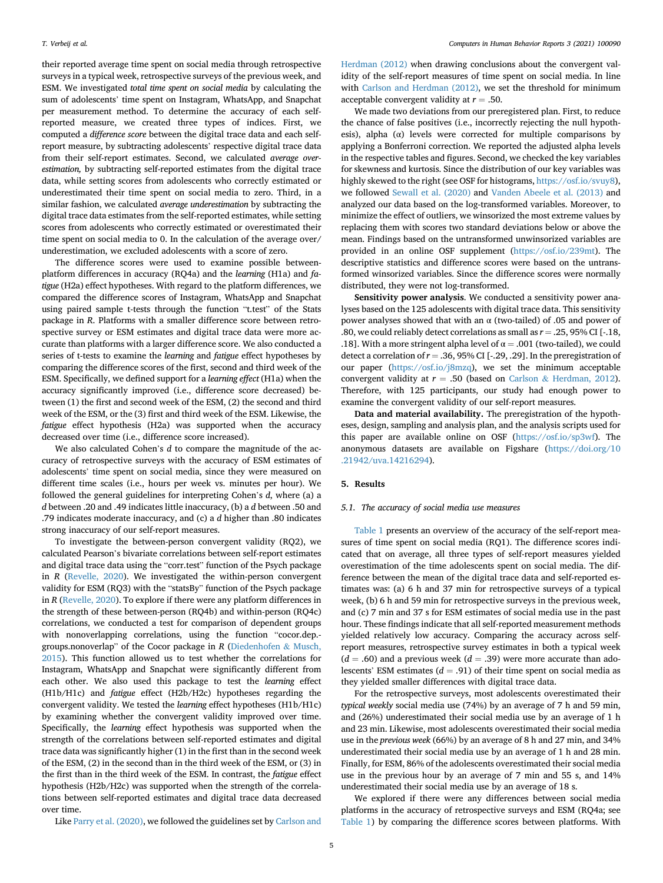their reported average time spent on social media through retrospective surveys in a typical week, retrospective surveys of the previous week, and ESM. We investigated total time spent on social media by calculating the sum of adolescents' time spent on Instagram, WhatsApp, and Snapchat per measurement method. To determine the accuracy of each selfreported measure, we created three types of indices. First, we computed a difference score between the digital trace data and each selfreport measure, by subtracting adolescents' respective digital trace data from their self-report estimates. Second, we calculated average overestimation, by subtracting self-reported estimates from the digital trace data, while setting scores from adolescents who correctly estimated or underestimated their time spent on social media to zero. Third, in a similar fashion, we calculated average underestimation by subtracting the digital trace data estimates from the self-reported estimates, while setting scores from adolescents who correctly estimated or overestimated their time spent on social media to 0. In the calculation of the average over/ underestimation, we excluded adolescents with a score of zero.

The difference scores were used to examine possible betweenplatform differences in accuracy (RQ4a) and the learning (H1a) and fatigue (H2a) effect hypotheses. With regard to the platform differences, we compared the difference scores of Instagram, WhatsApp and Snapchat using paired sample t-tests through the function "t.test" of the Stats package in R. Platforms with a smaller difference score between retrospective survey or ESM estimates and digital trace data were more accurate than platforms with a larger difference score. We also conducted a series of t-tests to examine the learning and fatigue effect hypotheses by comparing the difference scores of the first, second and third week of the ESM. Specifically, we defined support for a learning effect (H1a) when the accuracy significantly improved (i.e., difference score decreased) between (1) the first and second week of the ESM, (2) the second and third week of the ESM, or the (3) first and third week of the ESM. Likewise, the fatigue effect hypothesis (H2a) was supported when the accuracy decreased over time (i.e., difference score increased).

We also calculated Cohen's d to compare the magnitude of the accuracy of retrospective surveys with the accuracy of ESM estimates of adolescents' time spent on social media, since they were measured on different time scales (i.e., hours per week vs. minutes per hour). We followed the general guidelines for interpreting Cohen's d, where (a) a d between .20 and .49 indicates little inaccuracy, (b) a d between .50 and .79 indicates moderate inaccuracy, and (c) a d higher than .80 indicates strong inaccuracy of our self-report measures.

To investigate the between-person convergent validity (RQ2), we calculated Pearson's bivariate correlations between self-report estimates and digital trace data using the "corr.test" function of the Psych package in R ([Revelle, 2020\)](#page-10-21). We investigated the within-person convergent validity for ESM (RQ3) with the "statsBy" function of the Psych package in R [\(Revelle, 2020\)](#page-10-21). To explore if there were any platform differences in the strength of these between-person (RQ4b) and within-person (RQ4c) correlations, we conducted a test for comparison of dependent groups with nonoverlapping correlations, using the function "cocor.dep. groups.nonoverlap" of the Cocor package in R [\(Diedenhofen](#page-9-26) & [Musch,](#page-9-26) [2015\)](#page-9-26). This function allowed us to test whether the correlations for Instagram, WhatsApp and Snapchat were significantly different from each other. We also used this package to test the learning effect (H1b/H1c) and fatigue effect (H2b/H2c) hypotheses regarding the convergent validity. We tested the learning effect hypotheses (H1b/H1c) by examining whether the convergent validity improved over time. Specifically, the learning effect hypothesis was supported when the strength of the correlations between self-reported estimates and digital trace data was significantly higher (1) in the first than in the second week of the ESM, (2) in the second than in the third week of the ESM, or (3) in the first than in the third week of the ESM. In contrast, the fatigue effect hypothesis (H2b/H2c) was supported when the strength of the correlations between self-reported estimates and digital trace data decreased over time.

Like [Parry et al. \(2020\),](#page-10-22) we followed the guidelines set by [Carlson and](#page-9-9)

[Herdman \(2012\)](#page-9-9) when drawing conclusions about the convergent validity of the self-report measures of time spent on social media. In line with [Carlson and Herdman \(2012\),](#page-9-9) we set the threshold for minimum acceptable convergent validity at  $r = .50$ .

We made two deviations from our preregistered plan. First, to reduce the chance of false positives (i.e., incorrectly rejecting the null hypothesis), alpha  $(\alpha)$  levels were corrected for multiple comparisons by applying a Bonferroni correction. We reported the adjusted alpha levels in the respective tables and figures. Second, we checked the key variables for skewness and kurtosis. Since the distribution of our key variables was highly skewed to the right (see OSF for histograms, [https://osf.io/svuy8\)](https://osf.io/svuy8), we followed [Sewall et al. \(2020\)](#page-10-4) and [Vanden Abeele et al. \(2013\)](#page-10-23) and analyzed our data based on the log-transformed variables. Moreover, to minimize the effect of outliers, we winsorized the most extreme values by replacing them with scores two standard deviations below or above the mean. Findings based on the untransformed unwinsorized variables are provided in an online OSF supplement ([https://osf.io/239mt\)](https://osf.io/239mt). The descriptive statistics and difference scores were based on the untransformed winsorized variables. Since the difference scores were normally distributed, they were not log-transformed.

Sensitivity power analysis. We conducted a sensitivity power analyses based on the 125 adolescents with digital trace data. This sensitivity power analyses showed that with an α (two-tailed) of .05 and power of .80, we could reliably detect correlations as small as  $r = .25, 95\%$  CI [-.18, .18]. With a more stringent alpha level of  $\alpha = .001$  (two-tailed), we could detect a correlation of  $r = .36$ , 95% CI [-.29, .29]. In the preregistration of our paper [\(https://osf.io/j8mzq\)](https://osf.io/j8mzq), we set the minimum acceptable convergent validity at  $r = .50$  (based on [Carlson](#page-9-9) & [Herdman, 2012\)](#page-9-9). Therefore, with 125 participants, our study had enough power to examine the convergent validity of our self-report measures.

Data and material availability. The preregistration of the hypotheses, design, sampling and analysis plan, and the analysis scripts used for this paper are available online on OSF (<https://osf.io/sp3wf>). The anonymous datasets are available on Figshare ([https://doi.org/10](https://doi.org/10.21942/uva.14216294) [.21942/uva.14216294\)](https://doi.org/10.21942/uva.14216294).

#### 5. Results

# 5.1. The accuracy of social media use measures

[Table 1](#page-5-0) presents an overview of the accuracy of the self-report measures of time spent on social media (RQ1). The difference scores indicated that on average, all three types of self-report measures yielded overestimation of the time adolescents spent on social media. The difference between the mean of the digital trace data and self-reported estimates was: (a) 6 h and 37 min for retrospective surveys of a typical week, (b) 6 h and 59 min for retrospective surveys in the previous week, and (c) 7 min and 37 s for ESM estimates of social media use in the past hour. These findings indicate that all self-reported measurement methods yielded relatively low accuracy. Comparing the accuracy across selfreport measures, retrospective survey estimates in both a typical week  $(d = .60)$  and a previous week  $(d = .39)$  were more accurate than adolescents' ESM estimates ( $d = .91$ ) of their time spent on social media as they yielded smaller differences with digital trace data.

For the retrospective surveys, most adolescents overestimated their typical weekly social media use (74%) by an average of 7 h and 59 min, and (26%) underestimated their social media use by an average of 1 h and 23 min. Likewise, most adolescents overestimated their social media use in the previous week (66%) by an average of 8 h and 27 min, and 34% underestimated their social media use by an average of 1 h and 28 min. Finally, for ESM, 86% of the adolescents overestimated their social media use in the previous hour by an average of 7 min and 55 s, and 14% underestimated their social media use by an average of 18 s.

We explored if there were any differences between social media platforms in the accuracy of retrospective surveys and ESM (RQ4a; see [Table 1\)](#page-5-0) by comparing the difference scores between platforms. With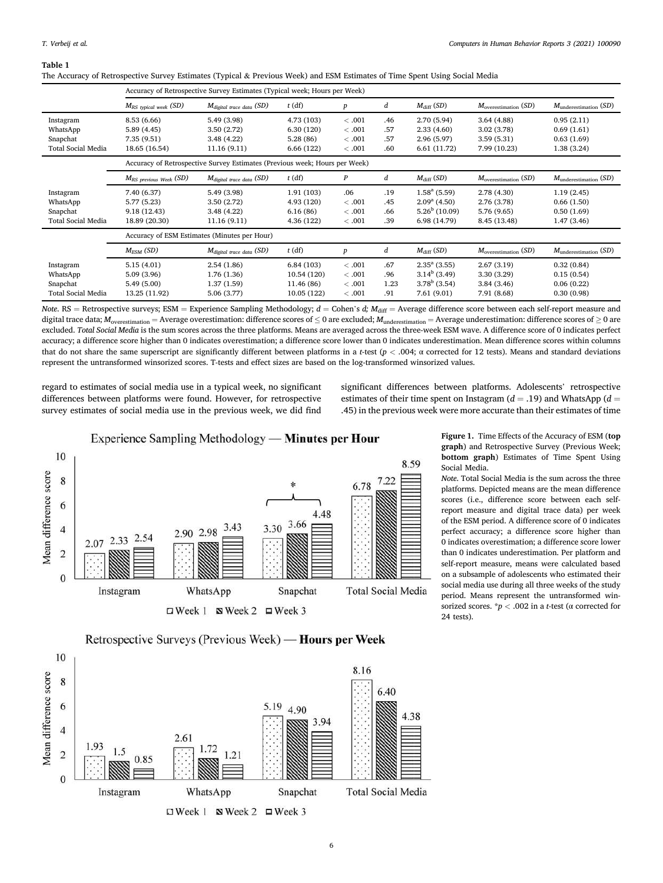<span id="page-5-0"></span>Table 1

The Accuracy of Retrospective Survey Estimates (Typical & Previous Week) and ESM Estimates of Time Spent Using Social Media

|                           |                             | Accuracy of Retrospective Survey Estimates (Typical week; Hours per Week)  |             |                  |      |                            |                           |                                   |
|---------------------------|-----------------------------|----------------------------------------------------------------------------|-------------|------------------|------|----------------------------|---------------------------|-----------------------------------|
|                           | $M_{RS}$ typical week (SD)  | Mdigital trace data (SD)                                                   | $t$ (df)    | $\boldsymbol{p}$ | d    | $M_{\text{diff}}(SD)$      | $M_{overestimation}$ (SD) | $M_{\text{underestimation}}$ (SD) |
| Instagram                 | 8.53 (6.66)                 | 5.49 (3.98)                                                                | 4.73 (103)  | <.001            | .46  | 2.70(5.94)                 | 3.64(4.88)                | 0.95(2.11)                        |
| WhatsApp                  | 5.89(4.45)                  | 3.50(2.72)                                                                 | 6.30(120)   | <.001            | .57  | 2.33(4.60)                 | 3.02(3.78)                | 0.69(1.61)                        |
| Snapchat                  | 7.35(9.51)                  | 3.48(4.22)                                                                 | 5.28(86)    | <.001            | .57  | 2.96(5.97)                 | 3.59(5.31)                | 0.63(1.69)                        |
| <b>Total Social Media</b> | 18.65 (16.54)               | 11.16 (9.11)                                                               | 6.66 (122)  | <.001            | .60  | 6.61 (11.72)               | 7.99 (10.23)              | 1.38(3.24)                        |
|                           |                             | Accuracy of Retrospective Survey Estimates (Previous week; Hours per Week) |             |                  |      |                            |                           |                                   |
|                           | $M_{RS}$ previous Week (SD) | $M_{\text{digital trace data}}$ (SD)                                       | $t$ (df)    | $\boldsymbol{P}$ | d    | $M_{\text{diff}}$ (SD)     | $M_{overestimation}$ (SD) | $M_{\text{underestimation}}$ (SD) |
| Instagram                 | 7.40 (6.37)                 | 5.49 (3.98)                                                                | 1.91(103)   | .06              | .19  | $1.58^{\circ}$ (5.59)      | 2.78 (4.30)               | 1.19(2.45)                        |
| WhatsApp                  | 5.77 (5.23)                 | 3.50(2.72)                                                                 | 4.93 (120)  | <.001            | .45  | $2.09^{\rm a}$ (4.50)      | 2.76 (3.78)               | 0.66(1.50)                        |
| Snapchat                  | 9.18 (12.43)                | 3.48(4.22)                                                                 | 6.16(86)    | <.001            | .66  | $5.26^b$ (10.09)           | 5.76 (9.65)               | 0.50(1.69)                        |
| <b>Total Social Media</b> | 18.89 (20.30)               | 11.16(9.11)                                                                | 4.36 (122)  | <.001            | .39  | 6.98 (14.79)               | 8.45 (13.48)              | 1.47(3.46)                        |
|                           |                             | Accuracy of ESM Estimates (Minutes per Hour)                               |             |                  |      |                            |                           |                                   |
|                           | $M_{ESM}$ (SD)              | M <sub>digital</sub> trace data (SD)                                       | $t$ (df)    | $\boldsymbol{p}$ | d    | $M_{\rm diff}$ (SD)        | $M_{overestimation}$ (SD) | $M_{\text{underestimation}}$ (SD) |
| Instagram                 | 5.15(4.01)                  | 2.54(1.86)                                                                 | 6.84(103)   | <.001            | .67  | $2.35^{\mathrm{a}}$ (3.55) | 2.67(3.19)                | 0.32(0.84)                        |
| WhatsApp                  | 5.09(3.96)                  | 1.76(1.36)                                                                 | 10.54 (120) | <.001            | .96  | $3.14b$ (3.49)             | 3.30(3.29)                | 0.15(0.54)                        |
| Snapchat                  | 5.49(5.00)                  | 1.37(1.59)                                                                 | 11.46 (86)  | <.001            | 1.23 | $3.78^b$ (3.54)            | 3.84(3.46)                | 0.06(0.22)                        |
| <b>Total Social Media</b> | 13.25 (11.92)               | 5.06 (3.77)                                                                | 10.05 (122) | <.001            | .91  | 7.61(9.01)                 | 7.91 (8.68)               | 0.30(0.98)                        |

Note. RS = Retrospective surveys; ESM = Experience Sampling Methodology;  $d =$  Cohen's  $d$ ;  $M_{\text{diff}} =$  Average difference score between each self-report measure and digital trace data;  $M_{\rm overestimation} = {\rm Average}$  overestimation: difference scores of  $\leq$  0 are excluded;  $M_{\rm underestimation} = {\rm Average}$  underestimation: difference scores of  $\geq$  0 are excluded. Total Social Media is the sum scores across the three platforms. Means are averaged across the three-week ESM wave. A difference score of 0 indicates perfect accuracy; a difference score higher than 0 indicates overestimation; a difference score lower than 0 indicates underestimation. Mean difference scores within columns that do not share the same superscript are significantly different between platforms in a t-test ( $p$  < .004; α corrected for 12 tests). Means and standard deviations represent the untransformed winsorized scores. T-tests and effect sizes are based on the log-transformed winsorized values.

<span id="page-5-1"></span>regard to estimates of social media use in a typical week, no significant differences between platforms were found. However, for retrospective survey estimates of social media use in the previous week, we did find significant differences between platforms. Adolescents' retrospective estimates of their time spent on Instagram ( $d = .19$ ) and WhatsApp ( $d =$ .45) in the previous week were more accurate than their estimates of time



Figure 1. Time Effects of the Accuracy of ESM (top graph) and Retrospective Survey (Previous Week; bottom graph) Estimates of Time Spent Using Social Media.

Note. Total Social Media is the sum across the three platforms. Depicted means are the mean difference scores (i.e., difference score between each selfreport measure and digital trace data) per week of the ESM period. A difference score of 0 indicates perfect accuracy; a difference score higher than 0 indicates overestimation; a difference score lower than 0 indicates underestimation. Per platform and self-report measure, means were calculated based on a subsample of adolescents who estimated their social media use during all three weeks of the study period. Means represent the untransformed winsorized scores.  $*p < .002$  in a *t*-test ( $\alpha$  corrected for 24 tests).



Retrospective Surveys (Previous Week) — Hours per Week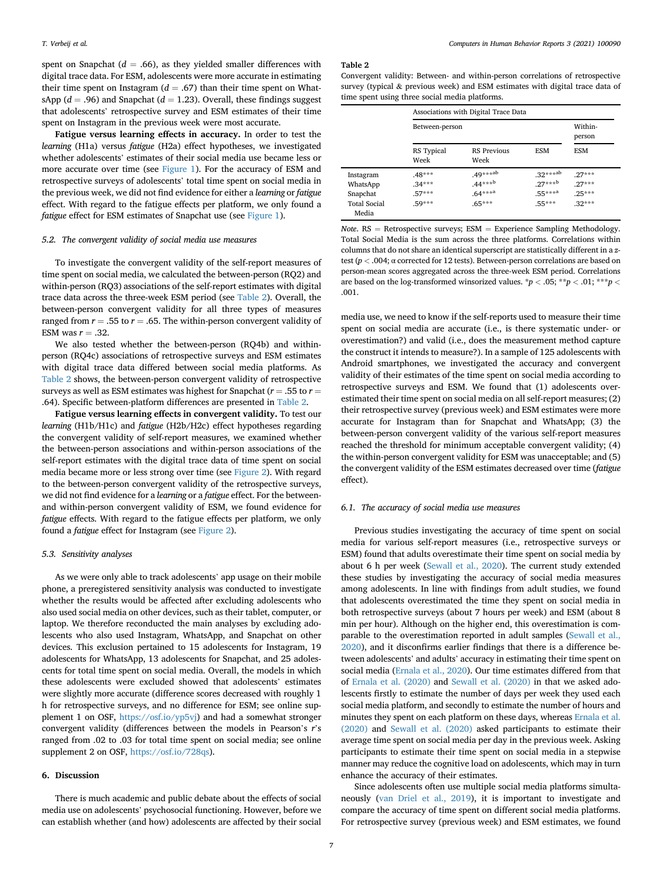spent on Snapchat ( $d = .66$ ), as they yielded smaller differences with digital trace data. For ESM, adolescents were more accurate in estimating their time spent on Instagram ( $d = .67$ ) than their time spent on WhatsApp ( $d = .96$ ) and Snapchat ( $d = 1.23$ ). Overall, these findings suggest that adolescents' retrospective survey and ESM estimates of their time spent on Instagram in the previous week were most accurate.

Fatigue versus learning effects in accuracy. In order to test the learning (H1a) versus fatigue (H2a) effect hypotheses, we investigated whether adolescents' estimates of their social media use became less or more accurate over time (see [Figure 1\)](#page-5-1). For the accuracy of ESM and retrospective surveys of adolescents' total time spent on social media in the previous week, we did not find evidence for either a learning or fatigue effect. With regard to the fatigue effects per platform, we only found a fatigue effect for ESM estimates of Snapchat use (see [Figure 1](#page-5-1)).

#### 5.2. The convergent validity of social media use measures

To investigate the convergent validity of the self-report measures of time spent on social media, we calculated the between-person (RQ2) and within-person (RQ3) associations of the self-report estimates with digital trace data across the three-week ESM period (see [Table 2\)](#page-6-0). Overall, the between-person convergent validity for all three types of measures ranged from  $r = .55$  to  $r = .65$ . The within-person convergent validity of ESM was  $r = .32$ .

We also tested whether the between-person (RQ4b) and withinperson (RQ4c) associations of retrospective surveys and ESM estimates with digital trace data differed between social media platforms. As [Table 2](#page-6-0) shows, the between-person convergent validity of retrospective surveys as well as ESM estimates was highest for Snapchat ( $r = .55$  to  $r =$ .64). Specific between-platform differences are presented in [Table 2](#page-6-0).

Fatigue versus learning effects in convergent validity. To test our learning (H1b/H1c) and fatigue (H2b/H2c) effect hypotheses regarding the convergent validity of self-report measures, we examined whether the between-person associations and within-person associations of the self-report estimates with the digital trace data of time spent on social media became more or less strong over time (see [Figure 2](#page-7-0)). With regard to the between-person convergent validity of the retrospective surveys, we did not find evidence for a learning or a fatigue effect. For the betweenand within-person convergent validity of ESM, we found evidence for fatigue effects. With regard to the fatigue effects per platform, we only found a fatigue effect for Instagram (see [Figure 2](#page-7-0)).

## 5.3. Sensitivity analyses

As we were only able to track adolescents' app usage on their mobile phone, a preregistered sensitivity analysis was conducted to investigate whether the results would be affected after excluding adolescents who also used social media on other devices, such as their tablet, computer, or laptop. We therefore reconducted the main analyses by excluding adolescents who also used Instagram, WhatsApp, and Snapchat on other devices. This exclusion pertained to 15 adolescents for Instagram, 19 adolescents for WhatsApp, 13 adolescents for Snapchat, and 25 adolescents for total time spent on social media. Overall, the models in which these adolescents were excluded showed that adolescents' estimates were slightly more accurate (difference scores decreased with roughly 1 h for retrospective surveys, and no difference for ESM; see online supplement 1 on OSF, [https://osf.io/yp5vj\)](https://osf.io/yp5vj) and had a somewhat stronger convergent validity (differences between the models in Pearson's r's ranged from .02 to .03 for total time spent on social media; see online supplement 2 on OSF, [https://osf.io/728qs\)](https://osf.io/728qs).

# 6. Discussion

There is much academic and public debate about the effects of social media use on adolescents' psychosocial functioning. However, before we can establish whether (and how) adolescents are affected by their social

#### <span id="page-6-0"></span>Table 2

Convergent validity: Between- and within-person correlations of retrospective survey (typical & previous week) and ESM estimates with digital trace data of time spent using three social media platforms.

|                              | Associations with Digital Trace Data |                            |               |            |  |
|------------------------------|--------------------------------------|----------------------------|---------------|------------|--|
|                              | Between-person                       | Within-<br>person          |               |            |  |
|                              | RS Typical<br>Week                   | <b>RS</b> Previous<br>Week | <b>ESM</b>    | <b>ESM</b> |  |
| Instagram                    | $.48***$                             | .49*** <sup>ab</sup>       | $.32***^{ab}$ | $27***$    |  |
| WhatsApp                     | $.34***$                             | $.44***b$                  | $27***b$      | $27***$    |  |
| Snapchat                     | $57***$                              | $.64***^{a}$               | $.55***^{a}$  | $25***$    |  |
| <b>Total Social</b><br>Media | $59***$                              | $.65***$                   | $.55***$      | $.32***$   |  |

Note.  $RS =$  Retrospective surveys;  $ESM =$  Experience Sampling Methodology. Total Social Media is the sum across the three platforms. Correlations within columns that do not share an identical superscript are statistically different in a ztest ( $p < .004$ ;  $\alpha$  corrected for 12 tests). Between-person correlations are based on person-mean scores aggregated across the three-week ESM period. Correlations are based on the log-transformed winsorized values. \*p < .05; \*\*p < .01; \*\*\*p < .001.

media use, we need to know if the self-reports used to measure their time spent on social media are accurate (i.e., is there systematic under- or overestimation?) and valid (i.e., does the measurement method capture the construct it intends to measure?). In a sample of 125 adolescents with Android smartphones, we investigated the accuracy and convergent validity of their estimates of the time spent on social media according to retrospective surveys and ESM. We found that (1) adolescents overestimated their time spent on social media on all self-report measures; (2) their retrospective survey (previous week) and ESM estimates were more accurate for Instagram than for Snapchat and WhatsApp; (3) the between-person convergent validity of the various self-report measures reached the threshold for minimum acceptable convergent validity; (4) the within-person convergent validity for ESM was unacceptable; and (5) the convergent validity of the ESM estimates decreased over time (fatigue effect).

#### 6.1. The accuracy of social media use measures

Previous studies investigating the accuracy of time spent on social media for various self-report measures (i.e., retrospective surveys or ESM) found that adults overestimate their time spent on social media by about 6 h per week ([Sewall et al., 2020\)](#page-10-4). The current study extended these studies by investigating the accuracy of social media measures among adolescents. In line with findings from adult studies, we found that adolescents overestimated the time they spent on social media in both retrospective surveys (about 7 hours per week) and ESM (about 8 min per hour). Although on the higher end, this overestimation is comparable to the overestimation reported in adult samples ([Sewall et al.,](#page-10-4) [2020\)](#page-10-4), and it disconfirms earlier findings that there is a difference between adolescents' and adults' accuracy in estimating their time spent on social media [\(Ernala et al., 2020\)](#page-9-6). Our time estimates differed from that of [Ernala et al. \(2020\)](#page-9-6) and [Sewall et al. \(2020\)](#page-10-4) in that we asked adolescents firstly to estimate the number of days per week they used each social media platform, and secondly to estimate the number of hours and minutes they spent on each platform on these days, whereas [Ernala et al.](#page-9-6) [\(2020\)](#page-9-6) and [Sewall et al. \(2020\)](#page-10-4) asked participants to estimate their average time spent on social media per day in the previous week. Asking participants to estimate their time spent on social media in a stepwise manner may reduce the cognitive load on adolescents, which may in turn enhance the accuracy of their estimates.

Since adolescents often use multiple social media platforms simultaneously ([van Driel et al., 2019](#page-9-11)), it is important to investigate and compare the accuracy of time spent on different social media platforms. For retrospective survey (previous week) and ESM estimates, we found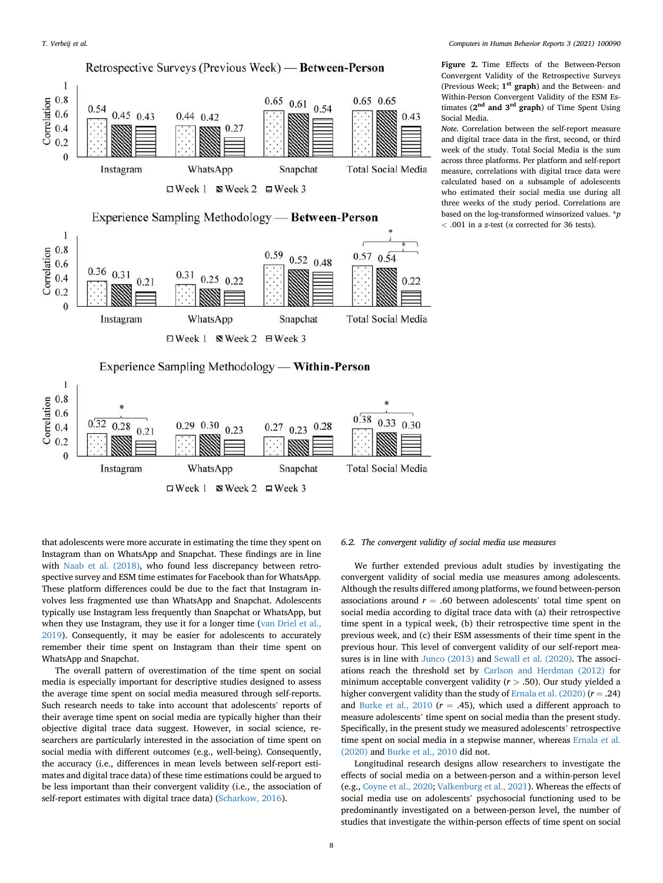<span id="page-7-0"></span>

Figure 2. Time Effects of the Between-Person Convergent Validity of the Retrospective Surveys (Previous Week; 1<sup>st</sup> graph) and the Between- and Within-Person Convergent Validity of the ESM Estimates  $(2<sup>nd</sup>$  and  $3<sup>rd</sup>$  graph) of Time Spent Using Social Media.

Note. Correlation between the self-report measure and digital trace data in the first, second, or third week of the study. Total Social Media is the sum across three platforms. Per platform and self-report measure, correlations with digital trace data were calculated based on a subsample of adolescents who estimated their social media use during all three weeks of the study period. Correlations are based on the log-transformed winsorized values.  $*p$  $<$  .001 in a z-test ( $\alpha$  corrected for 36 tests).

that adolescents were more accurate in estimating the time they spent on Instagram than on WhatsApp and Snapchat. These findings are in line with [Naab et al. \(2018\),](#page-10-7) who found less discrepancy between retrospective survey and ESM time estimates for Facebook than for WhatsApp. These platform differences could be due to the fact that Instagram involves less fragmented use than WhatsApp and Snapchat. Adolescents typically use Instagram less frequently than Snapchat or WhatsApp, but when they use Instagram, they use it for a longer time [\(van Driel et al.,](#page-9-11) [2019\)](#page-9-11). Consequently, it may be easier for adolescents to accurately remember their time spent on Instagram than their time spent on WhatsApp and Snapchat.

The overall pattern of overestimation of the time spent on social media is especially important for descriptive studies designed to assess the average time spent on social media measured through self-reports. Such research needs to take into account that adolescents' reports of their average time spent on social media are typically higher than their objective digital trace data suggest. However, in social science, researchers are particularly interested in the association of time spent on social media with different outcomes (e.g., well-being). Consequently, the accuracy (i.e., differences in mean levels between self-report estimates and digital trace data) of these time estimations could be argued to be less important than their convergent validity (i.e., the association of self-report estimates with digital trace data) ([Scharkow, 2016](#page-10-2)).

#### 6.2. The convergent validity of social media use measures

We further extended previous adult studies by investigating the convergent validity of social media use measures among adolescents. Although the results differed among platforms, we found between-person associations around  $r = .60$  between adolescents' total time spent on social media according to digital trace data with (a) their retrospective time spent in a typical week, (b) their retrospective time spent in the previous week, and (c) their ESM assessments of their time spent in the previous hour. This level of convergent validity of our self-report measures is in line with [Junco \(2013\)](#page-9-7) and [Sewall et al. \(2020\).](#page-10-4) The associations reach the threshold set by [Carlson and Herdman \(2012\)](#page-9-9) for minimum acceptable convergent validity ( $r > .50$ ). Our study yielded a higher convergent validity than the study of [Ernala et al. \(2020\)](#page-9-6) ( $r = .24$ ) and [Burke et al., 2010](#page-9-5) ( $r = .45$ ), which used a different approach to measure adolescents' time spent on social media than the present study. Specifically, in the present study we measured adolescents' retrospective time spent on social media in a stepwise manner, whereas [Ernala et al.](#page-9-6) [\(2020\)](#page-9-6) and [Burke et al., 2010](#page-9-5) did not.

Longitudinal research designs allow researchers to investigate the effects of social media on a between-person and a within-person level (e.g., [Coyne et al., 2020;](#page-9-23) [Valkenburg et al., 2021](#page-10-17)). Whereas the effects of social media use on adolescents' psychosocial functioning used to be predominantly investigated on a between-person level, the number of studies that investigate the within-person effects of time spent on social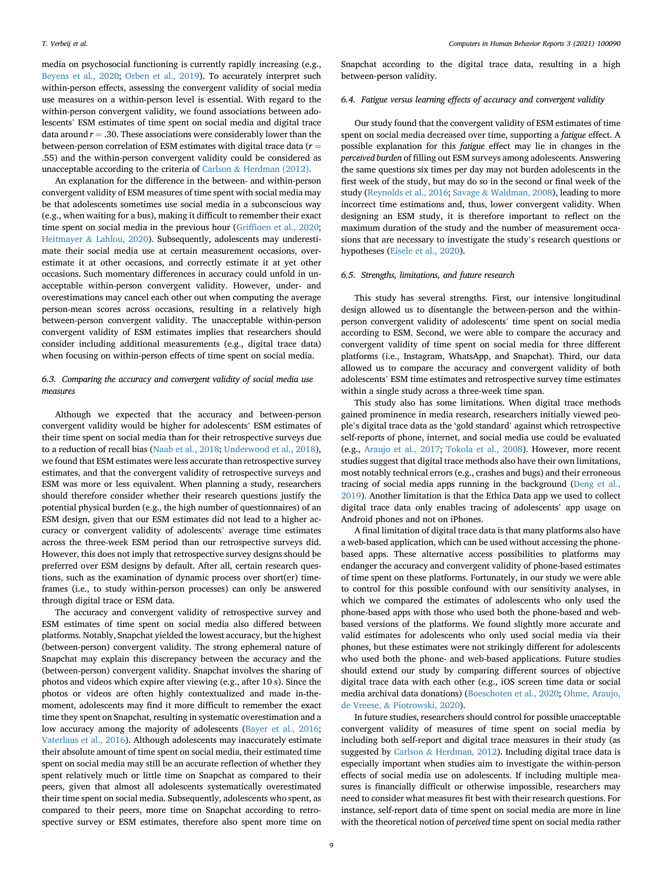media on psychosocial functioning is currently rapidly increasing (e.g., [Beyens et al., 2020;](#page-9-2) [Orben et al., 2019](#page-10-14)). To accurately interpret such within-person effects, assessing the convergent validity of social media use measures on a within-person level is essential. With regard to the within-person convergent validity, we found associations between adolescents' ESM estimates of time spent on social media and digital trace data around  $r = .30$ . These associations were considerably lower than the between-person correlation of ESM estimates with digital trace data ( $r =$ .55) and the within-person convergent validity could be considered as unacceptable according to the criteria of [Carlson](#page-9-9) & [Herdman \(2012\).](#page-9-9)

An explanation for the difference in the between- and within-person convergent validity of ESM measures of time spent with social media may be that adolescents sometimes use social media in a subconscious way (e.g., when waiting for a bus), making it difficult to remember their exact time spent on social media in the previous hour (Griffi[oen et al., 2020;](#page-9-1) [Heitmayer](#page-9-27) & [Lahlou, 2020](#page-9-27)). Subsequently, adolescents may underestimate their social media use at certain measurement occasions, overestimate it at other occasions, and correctly estimate it at yet other occasions. Such momentary differences in accuracy could unfold in unacceptable within-person convergent validity. However, under- and overestimations may cancel each other out when computing the average person-mean scores across occasions, resulting in a relatively high between-person convergent validity. The unacceptable within-person convergent validity of ESM estimates implies that researchers should consider including additional measurements (e.g., digital trace data) when focusing on within-person effects of time spent on social media.

# 6.3. Comparing the accuracy and convergent validity of social media use measures

Although we expected that the accuracy and between-person convergent validity would be higher for adolescents' ESM estimates of their time spent on social media than for their retrospective surveys due to a reduction of recall bias ([Naab et al., 2018](#page-10-7); [Underwood et al., 2018\)](#page-10-11), we found that ESM estimates were less accurate than retrospective survey estimates, and that the convergent validity of retrospective surveys and ESM was more or less equivalent. When planning a study, researchers should therefore consider whether their research questions justify the potential physical burden (e.g., the high number of questionnaires) of an ESM design, given that our ESM estimates did not lead to a higher accuracy or convergent validity of adolescents' average time estimates across the three-week ESM period than our retrospective surveys did. However, this does not imply that retrospective survey designs should be preferred over ESM designs by default. After all, certain research questions, such as the examination of dynamic process over short(er) timeframes (i.e., to study within-person processes) can only be answered through digital trace or ESM data.

The accuracy and convergent validity of retrospective survey and ESM estimates of time spent on social media also differed between platforms. Notably, Snapchat yielded the lowest accuracy, but the highest (between-person) convergent validity. The strong ephemeral nature of Snapchat may explain this discrepancy between the accuracy and the (between-person) convergent validity. Snapchat involves the sharing of photos and videos which expire after viewing (e.g., after 10 s). Since the photos or videos are often highly contextualized and made in-themoment, adolescents may find it more difficult to remember the exact time they spent on Snapchat, resulting in systematic overestimation and a low accuracy among the majority of adolescents ([Bayer et al., 2016;](#page-9-28) [Vaterlaus et al., 2016\)](#page-10-24). Although adolescents may inaccurately estimate their absolute amount of time spent on social media, their estimated time spent on social media may still be an accurate reflection of whether they spent relatively much or little time on Snapchat as compared to their peers, given that almost all adolescents systematically overestimated their time spent on social media. Subsequently, adolescents who spent, as compared to their peers, more time on Snapchat according to retrospective survey or ESM estimates, therefore also spent more time on Snapchat according to the digital trace data, resulting in a high between-person validity.

# 6.4. Fatigue versus learning effects of accuracy and convergent validity

Our study found that the convergent validity of ESM estimates of time spent on social media decreased over time, supporting a fatigue effect. A possible explanation for this fatigue effect may lie in changes in the perceived burden of filling out ESM surveys among adolescents. Answering the same questions six times per day may not burden adolescents in the first week of the study, but may do so in the second or final week of the study [\(Reynolds et al., 2016;](#page-10-19) [Savage](#page-10-20) & [Waldman, 2008](#page-10-20)), leading to more incorrect time estimations and, thus, lower convergent validity. When designing an ESM study, it is therefore important to reflect on the maximum duration of the study and the number of measurement occasions that are necessary to investigate the study's research questions or hypotheses ([Eisele et al., 2020](#page-9-29)).

### 6.5. Strengths, limitations, and future research

This study has several strengths. First, our intensive longitudinal design allowed us to disentangle the between-person and the withinperson convergent validity of adolescents' time spent on social media according to ESM. Second, we were able to compare the accuracy and convergent validity of time spent on social media for three different platforms (i.e., Instagram, WhatsApp, and Snapchat). Third, our data allowed us to compare the accuracy and convergent validity of both adolescents' ESM time estimates and retrospective survey time estimates within a single study across a three-week time span.

This study also has some limitations. When digital trace methods gained prominence in media research, researchers initially viewed people's digital trace data as the 'gold standard' against which retrospective self-reports of phone, internet, and social media use could be evaluated (e.g., [Araujo et al., 2017;](#page-9-15) [Tokola et al., 2008\)](#page-10-25). However, more recent studies suggest that digital trace methods also have their own limitations, most notably technical errors (e.g., crashes and bugs) and their erroneous tracing of social media apps running in the background ([Deng et al.,](#page-9-8) [2019\)](#page-9-8). Another limitation is that the Ethica Data app we used to collect digital trace data only enables tracing of adolescents' app usage on Android phones and not on iPhones.

A final limitation of digital trace data is that many platforms also have a web-based application, which can be used without accessing the phonebased apps. These alternative access possibilities to platforms may endanger the accuracy and convergent validity of phone-based estimates of time spent on these platforms. Fortunately, in our study we were able to control for this possible confound with our sensitivity analyses, in which we compared the estimates of adolescents who only used the phone-based apps with those who used both the phone-based and webbased versions of the platforms. We found slightly more accurate and valid estimates for adolescents who only used social media via their phones, but these estimates were not strikingly different for adolescents who used both the phone- and web-based applications. Future studies should extend our study by comparing different sources of objective digital trace data with each other (e.g., iOS screen time data or social media archival data donations) ([Boeschoten et al., 2020](#page-9-30); [Ohme, Araujo,](#page-10-26) [de Vreese,](#page-10-26) & [Piotrowski, 2020](#page-10-26)).

In future studies, researchers should control for possible unacceptable convergent validity of measures of time spent on social media by including both self-report and digital trace measures in their study (as suggested by [Carlson](#page-9-9) & [Herdman, 2012\)](#page-9-9). Including digital trace data is especially important when studies aim to investigate the within-person effects of social media use on adolescents. If including multiple measures is financially difficult or otherwise impossible, researchers may need to consider what measures fit best with their research questions. For instance, self-report data of time spent on social media are more in line with the theoretical notion of perceived time spent on social media rather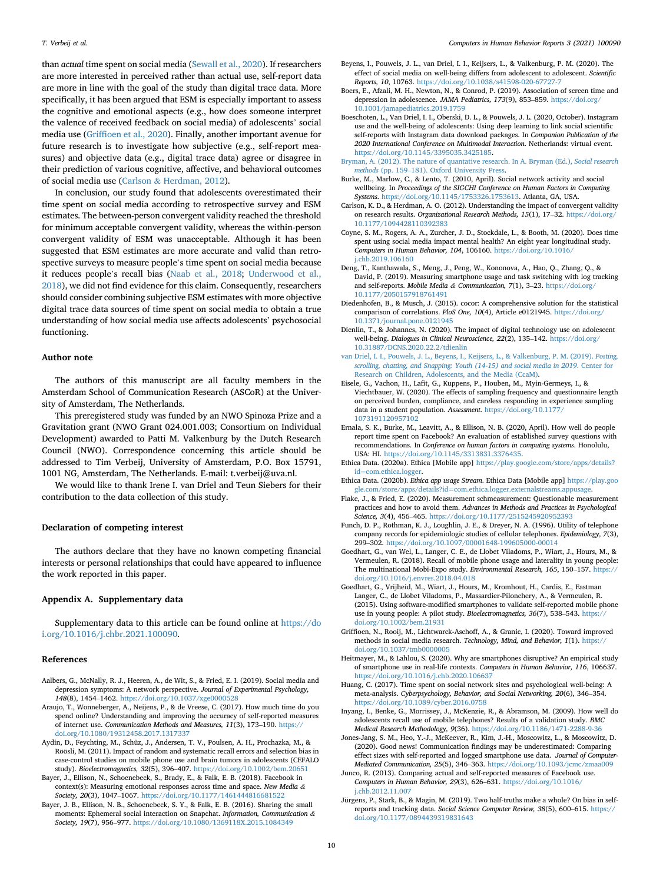than actual time spent on social media ([Sewall et al., 2020\)](#page-10-4). If researchers are more interested in perceived rather than actual use, self-report data are more in line with the goal of the study than digital trace data. More specifically, it has been argued that ESM is especially important to assess the cognitive and emotional aspects (e.g., how does someone interpret the valence of received feedback on social media) of adolescents' social media use (Griffi[oen et al., 2020](#page-9-1)). Finally, another important avenue for future research is to investigate how subjective (e.g., self-report measures) and objective data (e.g., digital trace data) agree or disagree in their prediction of various cognitive, affective, and behavioral outcomes of social media use ([Carlson](#page-9-9) & [Herdman, 2012\)](#page-9-9).

In conclusion, our study found that adolescents overestimated their time spent on social media according to retrospective survey and ESM estimates. The between-person convergent validity reached the threshold for minimum acceptable convergent validity, whereas the within-person convergent validity of ESM was unacceptable. Although it has been suggested that ESM estimates are more accurate and valid than retrospective surveys to measure people's time spent on social media because it reduces people's recall bias ([Naab et al., 2018](#page-10-7); [Underwood et al.,](#page-10-11) [2018\)](#page-10-11), we did not find evidence for this claim. Consequently, researchers should consider combining subjective ESM estimates with more objective digital trace data sources of time spent on social media to obtain a true understanding of how social media use affects adolescents' psychosocial functioning.

## Author note

The authors of this manuscript are all faculty members in the Amsterdam School of Communication Research (ASCoR) at the University of Amsterdam, The Netherlands.

This preregistered study was funded by an NWO Spinoza Prize and a Gravitation grant (NWO Grant 024.001.003; Consortium on Individual Development) awarded to Patti M. Valkenburg by the Dutch Research Council (NWO). Correspondence concerning this article should be addressed to Tim Verbeij, University of Amsterdam, P.O. Box 15791, 1001 NG, Amsterdam, The Netherlands. E-mail: t.verbeij@uva.nl.

We would like to thank Irene I. van Driel and Teun Siebers for their contribution to the data collection of this study.

#### Declaration of competing interest

The authors declare that they have no known competing financial interests or personal relationships that could have appeared to influence the work reported in this paper.

# Appendix A. Supplementary data

Supplementary data to this article can be found online at [https://do](https://doi.org/10.1016/j.chbr.2021.100090) [i.org/10.1016/j.chbr.2021.100090.](https://doi.org/10.1016/j.chbr.2021.100090)

#### <span id="page-9-12"></span>References

- <span id="page-9-15"></span>Aalbers, G., McNally, R. J., Heeren, A., de Wit, S., & Fried, E. I. (2019). Social media and depression symptoms: A network perspective. Journal of Experimental Psychology, 148(8), 1454–1462. <https://doi.org/10.1037/xge0000528>
- Araujo, T., Wonneberger, A., Neijens, P., & de Vreese, C. (2017). How much time do you spend online? Understanding and improving the accuracy of self-reported measures of internet use. Communication Methods and Measures, 11(3), 173–190. [https://](https://doi.org/10.1080/19312458.2017.1317337) [doi.org/10.1080/19312458.2017.1317337](https://doi.org/10.1080/19312458.2017.1317337)
- <span id="page-9-21"></span>Aydin, D., Feychting, M., Schüz, J., Andersen, T. V., Poulsen, A. H., Prochazka, M., & Röösli, M. (2011). Impact of random and systematic recall errors and selection bias in case-control studies on mobile phone use and brain tumors in adolescents (CEFALO study). Bioelectromagnetics, 32(5), 396–407. <https://doi.org/10.1002/bem.20651>
- <span id="page-9-28"></span><span id="page-9-13"></span>Bayer, J., Ellison, N., Schoenebeck, S., Brady, E., & Falk, E. B. (2018). Facebook in context(s): Measuring emotional responses across time and space. New Media & Society, 20(3), 1047–1067. <https://doi.org/10.1177/1461444816681522>
- Bayer, J. B., Ellison, N. B., Schoenebeck, S. Y., & Falk, E. B. (2016). Sharing the small moments: Ephemeral social interaction on Snapchat. Information, Communication & Society, 19(7), 956–977. <https://doi.org/10.1080/1369118X.2015.1084349>
- <span id="page-9-2"></span>Beyens, I., Pouwels, J. L., van Driel, I. I., Keijsers, L., & Valkenburg, P. M. (2020). The effect of social media on well-being differs from adolescent to adolescent. Scientific Reports, 10, 10763. <https://doi.org/10.1038/s41598-020-67727-7>
- <span id="page-9-14"></span>Boers, E., Afzali, M. H., Newton, N., & Conrod, P. (2019). Association of screen time and depression in adolescence. JAMA Pediatrics, 173(9), 853–859. [https://doi.org/](https://doi.org/10.1001/jamapediatrics.2019.1759) [10.1001/jamapediatrics.2019.1759](https://doi.org/10.1001/jamapediatrics.2019.1759)
- <span id="page-9-30"></span>Boeschoten, L., Van Driel, I. I., Oberski, D. L., & Pouwels, J. L. (2020, October). Instagram use and the well-being of adolescents: Using deep learning to link social scientific self-reports with Instagram data download packages. In Companion Publication of the 2020 International Conference on Multimodal Interaction. Netherlands: virtual event. [https://doi.org/10.1145/3395035.3425185.](https://doi.org/10.1145/3395035.3425185)

<span id="page-9-3"></span>[Bryman, A. \(2012\). The nature of quantative research. In A. Bryman \(Ed.\),](http://refhub.elsevier.com/S2451-9588(21)00038-5/sref9) Social research methods [\(pp. 159](http://refhub.elsevier.com/S2451-9588(21)00038-5/sref9)–[181\). Oxford University Press](http://refhub.elsevier.com/S2451-9588(21)00038-5/sref9).

- <span id="page-9-5"></span>Burke, M., Marlow, C., & Lento, T. (2010, April). Social network activity and social wellbeing. In Proceedings of the SIGCHI Conference on Human Factors in Computing Systems. <https://doi.org/10.1145/1753326.1753613>. Atlanta, GA, USA.
- <span id="page-9-9"></span>Carlson, K. D., & Herdman, A. O. (2012). Understanding the impact of convergent validity on research results. Organizational Research Methods, 15(1), 17–32. [https://doi.org/](https://doi.org/10.1177/1094428110392383) [10.1177/1094428110392383](https://doi.org/10.1177/1094428110392383)
- <span id="page-9-23"></span>Coyne, S. M., Rogers, A. A., Zurcher, J. D., Stockdale, L., & Booth, M. (2020). Does time spent using social media impact mental health? An eight year longitudinal study. Computers in Human Behavior, 104, 106160. [https://doi.org/10.1016/](https://doi.org/10.1016/j.chb.2019.106160) [j.chb.2019.106160](https://doi.org/10.1016/j.chb.2019.106160)
- <span id="page-9-8"></span>Deng, T., Kanthawala, S., Meng, J., Peng, W., Kononova, A., Hao, Q., Zhang, Q., & David, P. (2019). Measuring smartphone usage and task switching with log tracking and self-reports. Mobile Media & Communication, 7(1), 3–23. [https://doi.org/](https://doi.org/10.1177/2050157918761491) [10.1177/2050157918761491](https://doi.org/10.1177/2050157918761491)
- <span id="page-9-26"></span>Diedenhofen, B., & Musch, J. (2015). cocor: A comprehensive solution for the statistical comparison of correlations. PloS One, 10(4), Article e0121945. [https://doi.org/](https://doi.org/10.1371/journal.pone.0121945) [10.1371/journal.pone.0121945](https://doi.org/10.1371/journal.pone.0121945)
- <span id="page-9-10"></span>Dienlin, T., & Johannes, N. (2020). The impact of digital technology use on adolescent well-being. Dialogues in Clinical Neuroscience, 22(2), 135–142. [https://doi.org/](https://doi.org/10.31887/DCNS.2020.22.2/tdienlin) [10.31887/DCNS.2020.22.2/tdienlin](https://doi.org/10.31887/DCNS.2020.22.2/tdienlin)
- <span id="page-9-11"></span>[van Driel, I. I., Pouwels, J. L., Beyens, I., Keijsers, L., & Valkenburg, P. M. \(2019\).](http://refhub.elsevier.com/S2451-9588(21)00038-5/sref16) Posting, [scrolling, chatting, and Snapping: Youth \(14-15\) and social media in 2019](http://refhub.elsevier.com/S2451-9588(21)00038-5/sref16). Center for [Research on Children, Adolescents, and the Media \(CcaM\)](http://refhub.elsevier.com/S2451-9588(21)00038-5/sref16).
- <span id="page-9-29"></span>Eisele, G., Vachon, H., Lafit, G., Kuppens, P., Houben, M., Myin-Germeys, I., & Viechtbauer, W. (2020). The effects of sampling frequency and questionnaire length on perceived burden, compliance, and careless responding in experience sampling data in a student population. Assessment. [https://doi.org/10.1177/](https://doi.org/10.1177/1073191120957102) [1073191120957102](https://doi.org/10.1177/1073191120957102)
- <span id="page-9-6"></span>Ernala, S. K., Burke, M., Leavitt, A., & Ellison, N. B. (2020, April). How well do people report time spent on Facebook? An evaluation of established survey questions with recommendations. In Conference on human factors in computing systems. Honolulu, USA: HI. <https://doi.org/10.1145/3313831.3376435>.
- <span id="page-9-24"></span>Ethica Data. (2020a). Ethica [Mobile app] [https://play.google.com/store/apps/details?](https://play.google.com/store/apps/details?id=com.ethica.logger)  $id = com.$  $id = com.$ ethica. $logger.$
- <span id="page-9-25"></span>Ethica Data. (2020b). Ethica app usage Stream. Ethica Data [Mobile app] [https://play.goo](https://play.google.com/store/apps/details?id=com.ethica.logger.externalstreams.appusage) [gle.com/store/apps/details?id](https://play.google.com/store/apps/details?id=com.ethica.logger.externalstreams.appusage)=[com.ethica.logger.externalstreams.appusage](https://play.google.com/store/apps/details?id=com.ethica.logger.externalstreams.appusage).
- <span id="page-9-4"></span>Flake, J., & Fried, E. (2020). Measurement schmeasurement: Questionable measurement practices and how to avoid them. Advances in Methods and Practices in Psychological Science, 3(4), 456–465. <https://doi.org/10.1177/2515245920952393>
- <span id="page-9-19"></span>Funch, D. P., Rothman, K. J., Loughlin, J. E., & Dreyer, N. A. (1996). Utility of telephone company records for epidemiologic studies of cellular telephones. Epidemiology, 7(3), 299–302. <https://doi.org/10.1097/00001648-199605000-00014>
- <span id="page-9-22"></span>Goedhart, G., van Wel, L., Langer, C. E., de Llobet Viladoms, P., Wiart, J., Hours, M., & Vermeulen, R. (2018). Recall of mobile phone usage and laterality in young people: The multinational Mobi-Expo study. Environmental Research, 165, 150–157. [https://](https://doi.org/10.1016/j.envres.2018.04.018) [doi.org/10.1016/j.envres.2018.04.018](https://doi.org/10.1016/j.envres.2018.04.018)
- <span id="page-9-20"></span>Goedhart, G., Vrijheid, M., Wiart, J., Hours, M., Kromhout, H., Cardis, E., Eastman Langer, C., de Llobet Viladoms, P., Massardier-Pilonchery, A., & Vermeulen, R. (2015). Using software-modified smartphones to validate self-reported mobile phone use in young people: A pilot study. Bioelectromagnetics, 36(7), 538–543. [https://](https://doi.org/10.1002/bem.21931) [doi.org/10.1002/bem.21931](https://doi.org/10.1002/bem.21931)
- <span id="page-9-1"></span>Griffioen, N., Rooij, M., Lichtwarck-Aschoff, A., & Granic, I. (2020). Toward improved methods in social media research. Technology, Mind, and Behavior, 1(1). [https://](https://doi.org/10.1037/tmb0000005) [doi.org/10.1037/tmb0000005](https://doi.org/10.1037/tmb0000005)
- <span id="page-9-27"></span>Heitmayer, M., & Lahlou, S. (2020). Why are smartphones disruptive? An empirical study of smartphone use in real-life contexts. Computers in Human Behavior, 116, 106637. <https://doi.org/10.1016/j.chb.2020.106637>
- <span id="page-9-0"></span>Huang, C. (2017). Time spent on social network sites and psychological well-being: A meta-analysis. Cyberpsychology, Behavior, and Social Networking, 20(6), 346–354. <https://doi.org/10.1089/cyber.2016.0758>
- <span id="page-9-18"></span>Inyang, I., Benke, G., Morrissey, J., McKenzie, R., & Abramson, M. (2009). How well do adolescents recall use of mobile telephones? Results of a validation study. BMC Medical Research Methodology, 9(36). <https://doi.org/10.1186/1471-2288-9-36>
- <span id="page-9-16"></span>Jones-Jang, S. M., Heo, Y.-J., McKeever, R., Kim, J.-H., Moscowitz, L., & Moscowitz, D. (2020). Good news! Communication findings may be underestimated: Comparing effect sizes with self-reported and logged smartphone use data. Journal of Computer-Mediated Communication, 25(5), 346–363. <https://doi.org/10.1093/jcmc/zmaa009>
- <span id="page-9-7"></span>Junco, R. (2013). Comparing actual and self-reported measures of Facebook use. Computers in Human Behavior, 29(3), 626–631. [https://doi.org/10.1016/](https://doi.org/10.1016/j.chb.2012.11.007) [j.chb.2012.11.007](https://doi.org/10.1016/j.chb.2012.11.007)
- <span id="page-9-17"></span>Jürgens, P., Stark, B., & Magin, M. (2019). Two half-truths make a whole? On bias in selfreports and tracking data. Social Science Computer Review, 38(5), 600–615. [https://](https://doi.org/10.1177/0894439319831643) [doi.org/10.1177/0894439319831643](https://doi.org/10.1177/0894439319831643)